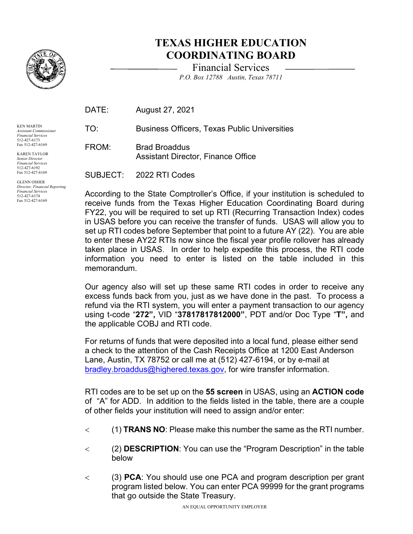

## **TEXAS HIGHER EDUCATION COORDINATING BOARD**

Financial Services *P.O. Box 12788 Austin, Texas 78711* 

| DATE: | August 27, 2021                                                   |
|-------|-------------------------------------------------------------------|
| TO:   | <b>Business Officers, Texas Public Universities</b>               |
| FROM: | <b>Brad Broaddus</b><br><b>Assistant Director, Finance Office</b> |
|       |                                                                   |

 *Financial Services*  GLENN OSHER *Director, Financial Reporting*  512-427-6174 Fax 512-427-6169

KEN MARTIN *Assistant Commissioner Financial Services*  512-427-6173 Fax 512-427-6169 KAREN TAYLOR *Senior Director Financial Services*  512-427-6192 Fax 512-427-6169

SUBJECT: 2022 RTI Codes

 in USAS before you can receive the transfer of funds. USAS will allow you to set up RTI codes before September that point to a future AY (22). You are able taken place in USAS. In order to help expedite this process, the RTI code memorandum. According to the State Comptroller's Office, if your institution is scheduled to receive funds from the Texas Higher Education Coordinating Board during FY22, you will be required to set up RTI (Recurring Transaction Index) codes to enter these AY22 RTIs now since the fiscal year profile rollover has already information you need to enter is listed on the table included in this

 excess funds back from you, just as we have done in the past. To process a the applicable COBJ and RTI code. Our agency also will set up these same RTI codes in order to receive any refund via the RTI system, you will enter a payment transaction to our agency using t-code "**272",** VID "**37817817812000"**, PDT and/or Doc Type "**T",** and

 Lane, Austin, TX 78752 or call me at (512) 427-6194, or by e-mail at For returns of funds that were deposited into a local fund, please either send a check to the attention of the Cash Receipts Office at 1200 East Anderson [bradley.broaddus@highered.texas.gov,](mailto:bradley.broaddus@highered.texas.gov) for wire transfer information.

 of "A" for ADD. In addition to the fields listed in the table, there are a couple RTI codes are to be set up on the **55 screen** in USAS, using an **ACTION code**  of other fields your institution will need to assign and/or enter:

- < (1) **TRANS NO**: Please make this number the same as the RTI number.
- < (2) **DESCRIPTION**: You can use the "Program Description" in the table below
- < (3) **PCA**: You should use one PCA and program description per grant program listed below. You can enter PCA 99999 for the grant programs that go outside the State Treasury.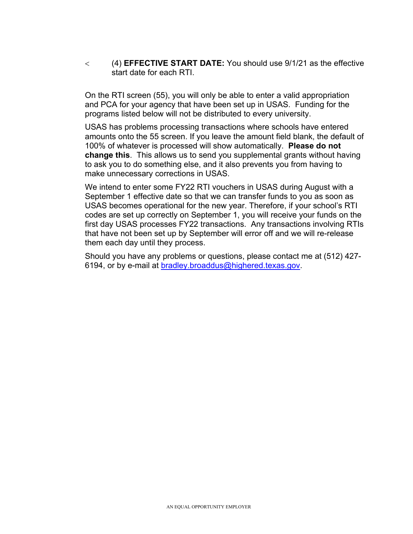< (4) **EFFECTIVE START DATE:** You should use 9/1/21 as the effective start date for each RTI.

 and PCA for your agency that have been set up in USAS. Funding for the programs listed below will not be distributed to every university. On the RTI screen (55), you will only be able to enter a valid appropriation

 100% of whatever is processed will show automatically. **Please do not**  USAS has problems processing transactions where schools have entered amounts onto the 55 screen. If you leave the amount field blank, the default of **change this**. This allows us to send you supplemental grants without having to ask you to do something else, and it also prevents you from having to make unnecessary corrections in USAS.

 We intend to enter some FY22 RTI vouchers in USAS during August with a September 1 effective date so that we can transfer funds to you as soon as them each day until they process. USAS becomes operational for the new year. Therefore, if your school's RTI codes are set up correctly on September 1, you will receive your funds on the first day USAS processes FY22 transactions. Any transactions involving RTIs that have not been set up by September will error off and we will re-release

Should you have any problems or questions, please contact me at (512) 4276194, or by e-mail at [bradley.broaddus@highered.texas.gov.](mailto:bradley.broaddus@highered.texas.gov)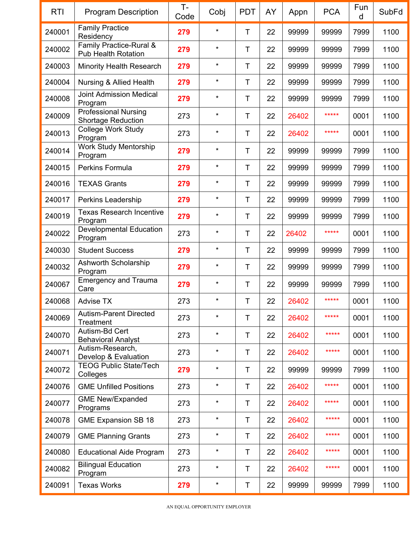| <b>RTI</b> | <b>Program Description</b>                               | $T -$<br>Code | Cobj          | <b>PDT</b> | AY | Appn  | <b>PCA</b> | Fun<br>d | <b>SubFd</b> |
|------------|----------------------------------------------------------|---------------|---------------|------------|----|-------|------------|----------|--------------|
| 240001     | <b>Family Practice</b><br>Residency                      | 279           | $\star$       | Τ          | 22 | 99999 | 99999      | 7999     | 1100         |
| 240002     | Family Practice-Rural &<br><b>Pub Health Rotation</b>    | 279           | *             | Τ          | 22 | 99999 | 99999      | 7999     | 1100         |
| 240003     | <b>Minority Health Research</b>                          | 279           | *             | Τ          | 22 | 99999 | 99999      | 7999     | 1100         |
| 240004     | <b>Nursing &amp; Allied Health</b>                       | 279           | $\star$       | Τ          | 22 | 99999 | 99999      | 7999     | 1100         |
| 240008     | <b>Joint Admission Medical</b><br>Program                | 279           | *             | Τ          | 22 | 99999 | 99999      | 7999     | 1100         |
| 240009     | <b>Professional Nursing</b><br><b>Shortage Reduction</b> | 273           | *             | Τ          | 22 | 26402 | *****      | 0001     | 1100         |
| 240013     | College Work Study<br>Program                            | 273           | $\star$       | Τ          | 22 | 26402 | *****      | 0001     | 1100         |
| 240014     | <b>Work Study Mentorship</b><br>Program                  | 279           | *             | Τ          | 22 | 99999 | 99999      | 7999     | 1100         |
| 240015     | Perkins Formula                                          | 279           | *             | Τ          | 22 | 99999 | 99999      | 7999     | 1100         |
| 240016     | <b>TEXAS Grants</b>                                      | 279           | $\star$       | Τ          | 22 | 99999 | 99999      | 7999     | 1100         |
| 240017     | Perkins Leadership                                       | 279           | $\star$       | Τ          | 22 | 99999 | 99999      | 7999     | 1100         |
| 240019     | <b>Texas Research Incentive</b><br>Program               | 279           | *             | Τ          | 22 | 99999 | 99999      | 7999     | 1100         |
| 240022     | <b>Developmental Education</b><br>Program                | 273           | $\star$       | T          | 22 | 26402 | *****      | 0001     | 1100         |
| 240030     | <b>Student Success</b>                                   | 279           | $\star$       | Τ          | 22 | 99999 | 99999      | 7999     | 1100         |
| 240032     | Ashworth Scholarship<br>Program                          | 279           | $\star$       | Τ          | 22 | 99999 | 99999      | 7999     | 1100         |
| 240067     | <b>Emergency and Trauma</b><br>Care                      | 279           | $\pmb{\star}$ | Τ          | 22 | 99999 | 99999      | 7999     | 1100         |
| 240068     | <b>Advise TX</b>                                         | 273           | $^\star$      | Т          | 22 | 26402 | *****      | 0001     | 1100         |
| 240069     | <b>Autism-Parent Directed</b><br>Treatment               | 273           | $\star$       | T          | 22 | 26402 | *****      | 0001     | 1100         |
| 240070     | Autism-Bd Cert<br><b>Behavioral Analyst</b>              | 273           | $\star$       | Τ          | 22 | 26402 | *****      | 0001     | 1100         |
| 240071     | Autism-Research,<br>Develop & Evaluation                 | 273           | $\star$       | Τ          | 22 | 26402 | *****      | 0001     | 1100         |
| 240072     | <b>TEOG Public State/Tech</b><br>Colleges                | 279           | $\star$       | Τ          | 22 | 99999 | 99999      | 7999     | 1100         |
| 240076     | <b>GME Unfilled Positions</b>                            | 273           | $\star$       | Τ          | 22 | 26402 | *****      | 0001     | 1100         |
| 240077     | <b>GME New/Expanded</b><br>Programs                      | 273           | $\star$       | Τ          | 22 | 26402 | *****      | 0001     | 1100         |
| 240078     | <b>GME Expansion SB 18</b>                               | 273           | $\star$       | Τ          | 22 | 26402 | *****      | 0001     | 1100         |
| 240079     | <b>GME Planning Grants</b>                               | 273           | $\star$       | Τ          | 22 | 26402 | *****      | 0001     | 1100         |
| 240080     | <b>Educational Aide Program</b>                          | 273           | $\star$       | Τ          | 22 | 26402 | *****      | 0001     | 1100         |
| 240082     | <b>Bilingual Education</b><br>Program                    | 273           | $\star$       | Τ          | 22 | 26402 | *****      | 0001     | 1100         |
| 240091     | <b>Texas Works</b>                                       | 279           | $^\star$      | Τ          | 22 | 99999 | 99999      | 7999     | 1100         |